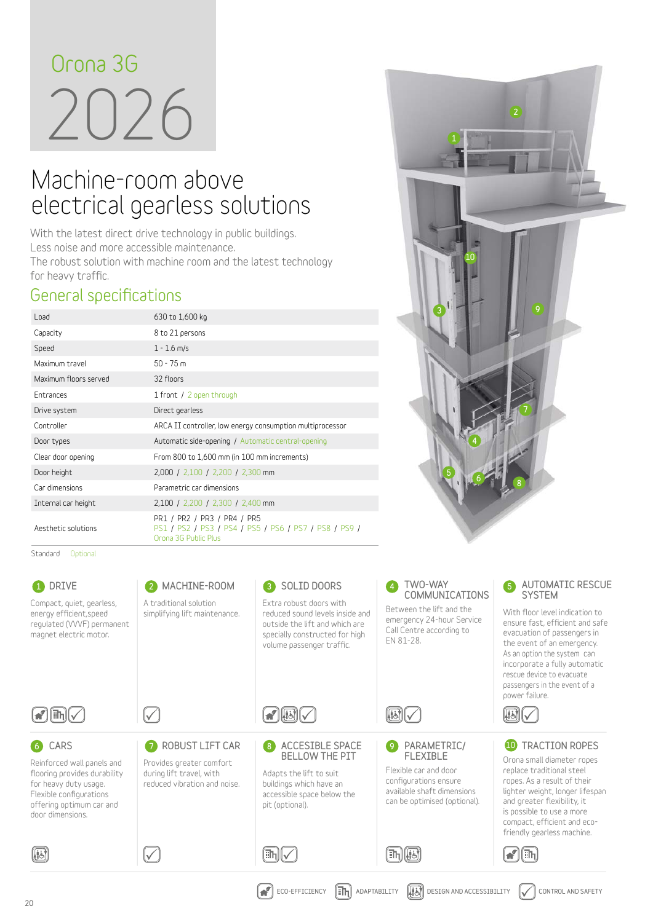# 2026 **Orona 3G**

# Machine-room above electrical gearless solutions

**With the latest direct drive technology in public buildings. Less noise and more accessible maintenance. The robust solution with machine room and the latest technology for heavy traffic.**

#### **General specifications**

| Load                  | 630 to 1,600 kg                                                                                              |  |  |  |  |  |  |  |
|-----------------------|--------------------------------------------------------------------------------------------------------------|--|--|--|--|--|--|--|
| Capacity              | 8 to 21 persons                                                                                              |  |  |  |  |  |  |  |
| Speed                 | $1 - 1.6$ m/s                                                                                                |  |  |  |  |  |  |  |
| Maximum travel        | $50 - 75$ m                                                                                                  |  |  |  |  |  |  |  |
| Maximum floors served | 32 floors                                                                                                    |  |  |  |  |  |  |  |
| Entrances             | 1 front / 2 open through                                                                                     |  |  |  |  |  |  |  |
| Drive system          | Direct gearless                                                                                              |  |  |  |  |  |  |  |
| Controller            | ARCA II controller, low energy consumption multiprocessor                                                    |  |  |  |  |  |  |  |
| Door types            | Automatic side-opening / Automatic central-opening                                                           |  |  |  |  |  |  |  |
| Clear door opening    | From 800 to 1,600 mm (in 100 mm increments)                                                                  |  |  |  |  |  |  |  |
| Door height           | 2,000 / 2,100 / 2,200 / 2,300 mm                                                                             |  |  |  |  |  |  |  |
| Car dimensions        | Parametric car dimensions                                                                                    |  |  |  |  |  |  |  |
| Internal car height   | 2,100 / 2,200 / 2,300 / 2,400 mm                                                                             |  |  |  |  |  |  |  |
| Aesthetic solutions   | PR1 / PR2 / PR3 / PR4 / PR5<br>PS1 / PS2 / PS3 / PS4 / PS5 / PS6 / PS7 / PS8 / PS9 /<br>Orona 3G Public Plus |  |  |  |  |  |  |  |

Standard Optional